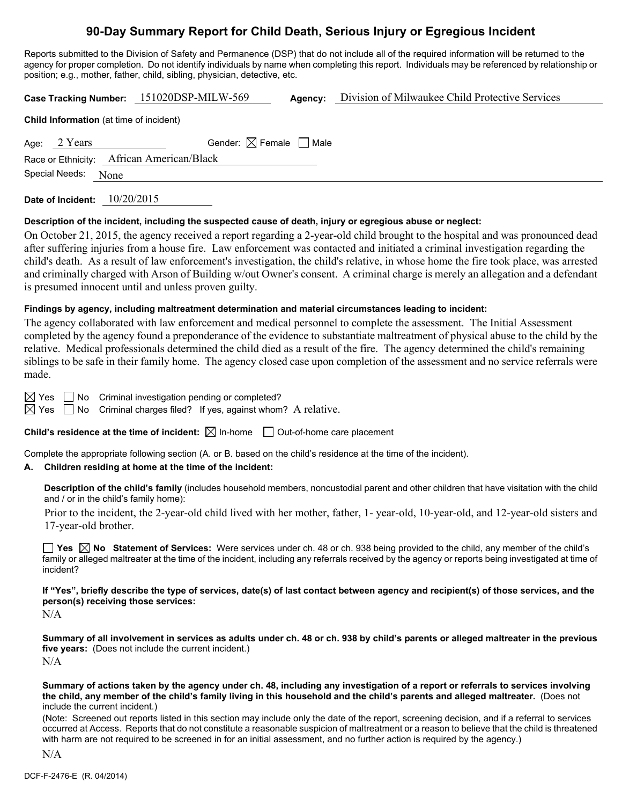# **90-Day Summary Report for Child Death, Serious Injury or Egregious Incident**

Reports submitted to the Division of Safety and Permanence (DSP) that do not include all of the required information will be returned to the agency for proper completion. Do not identify individuals by name when completing this report. Individuals may be referenced by relationship or position; e.g., mother, father, child, sibling, physician, detective, etc.

**Case Tracking Number:** 151020DSP-MILW-569 **Agency:** Division of Milwaukee Child Protective Services **Child Information** (at time of incident) Age:  $2$  Years Gender:  $\boxtimes$  Female  $\Box$  Male Race or Ethnicity: African American/Black Special Needs: None **Date of Incident:** 10/20/2015

# **Description of the incident, including the suspected cause of death, injury or egregious abuse or neglect:**

On October 21, 2015, the agency received a report regarding a 2-year-old child brought to the hospital and was pronounced dead after suffering injuries from a house fire. Law enforcement was contacted and initiated a criminal investigation regarding the child's death. As a result of law enforcement's investigation, the child's relative, in whose home the fire took place, was arrested and criminally charged with Arson of Building w/out Owner's consent. A criminal charge is merely an allegation and a defendant is presumed innocent until and unless proven guilty.

# **Findings by agency, including maltreatment determination and material circumstances leading to incident:**

The agency collaborated with law enforcement and medical personnel to complete the assessment. The Initial Assessment completed by the agency found a preponderance of the evidence to substantiate maltreatment of physical abuse to the child by the relative. Medical professionals determined the child died as a result of the fire. The agency determined the child's remaining siblings to be safe in their family home. The agency closed case upon completion of the assessment and no service referrals were made.

 $\boxtimes$  Yes  $\Box$  No Criminal investigation pending or completed?

 $\boxtimes$  Yes  $\Box$  No Criminal charges filed? If yes, against whom? A relative.

**Child's residence at the time of incident:**  $\boxtimes$  In-home  $\Box$  Out-of-home care placement

Complete the appropriate following section (A. or B. based on the child's residence at the time of the incident).

# **A. Children residing at home at the time of the incident:**

**Description of the child's family** (includes household members, noncustodial parent and other children that have visitation with the child and / or in the child's family home):

 Prior to the incident, the 2-year-old child lived with her mother, father, 1- year-old, 10-year-old, and 12-year-old sisters and 17-year-old brother.

■ Yes △ No Statement of Services: Were services under ch. 48 or ch. 938 being provided to the child, any member of the child's family or alleged maltreater at the time of the incident, including any referrals received by the agency or reports being investigated at time of incident?

**If "Yes", briefly describe the type of services, date(s) of last contact between agency and recipient(s) of those services, and the person(s) receiving those services:** 

N/A

**Summary of all involvement in services as adults under ch. 48 or ch. 938 by child's parents or alleged maltreater in the previous five years:** (Does not include the current incident.) N/A

**Summary of actions taken by the agency under ch. 48, including any investigation of a report or referrals to services involving the child, any member of the child's family living in this household and the child's parents and alleged maltreater.** (Does not include the current incident.)

(Note: Screened out reports listed in this section may include only the date of the report, screening decision, and if a referral to services occurred at Access. Reports that do not constitute a reasonable suspicion of maltreatment or a reason to believe that the child is threatened with harm are not required to be screened in for an initial assessment, and no further action is required by the agency.)

N/A